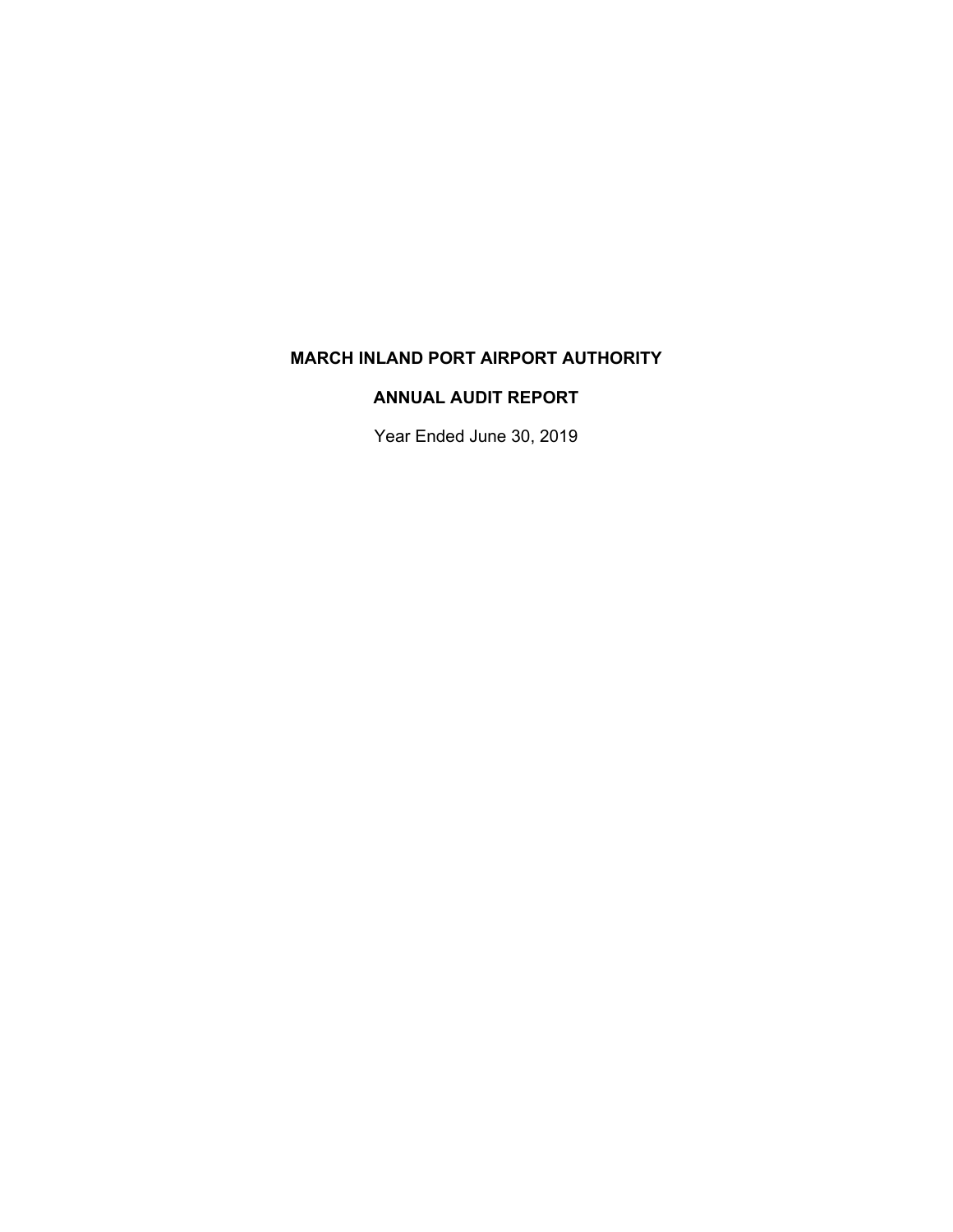# **ANNUAL AUDIT REPORT**

Year Ended June 30, 2019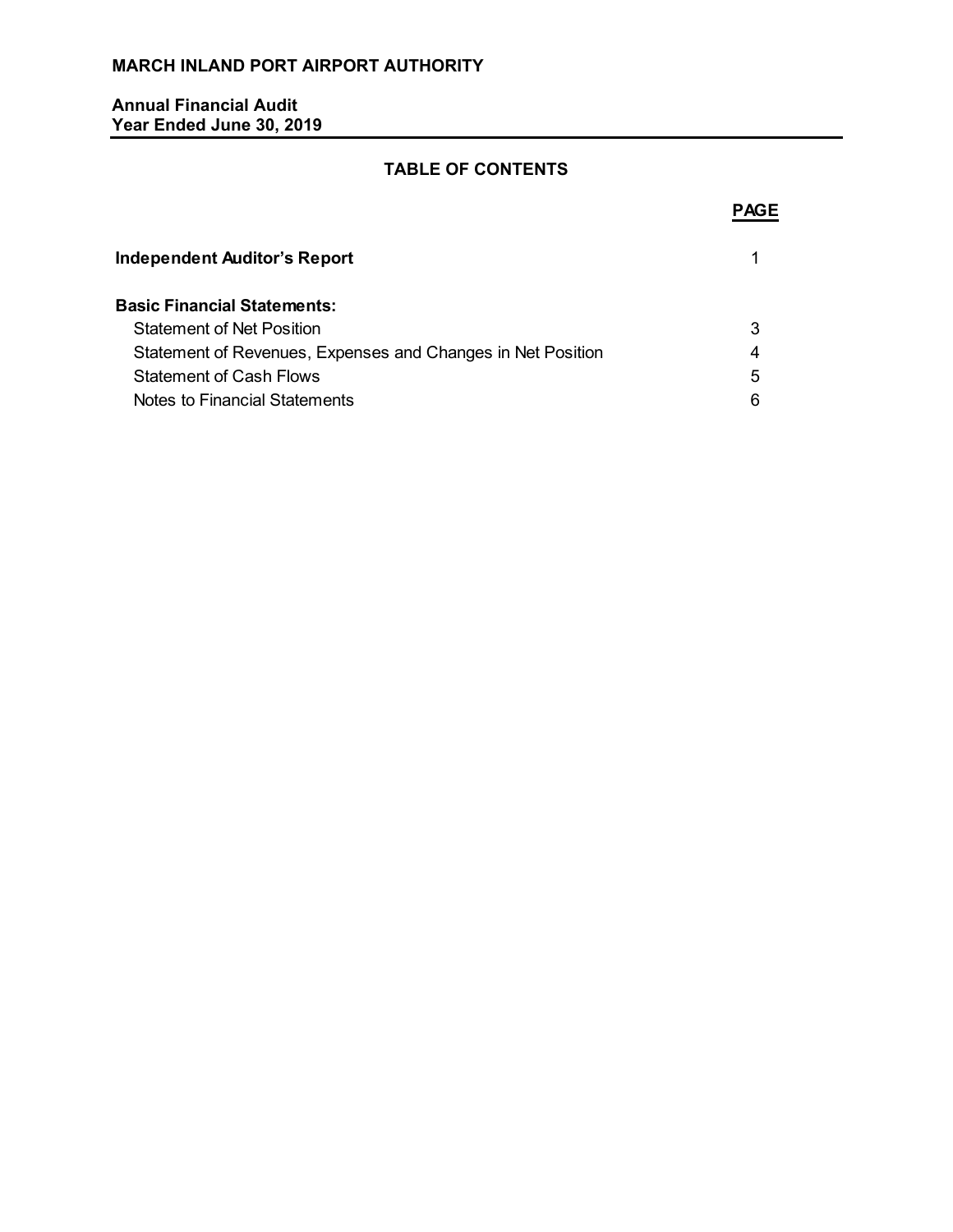# **Annual Financial Audit Year Ended June 30, 2019**

# **TABLE OF CONTENTS**

|                                                             | PAGF |
|-------------------------------------------------------------|------|
| Independent Auditor's Report                                |      |
| <b>Basic Financial Statements:</b>                          |      |
| <b>Statement of Net Position</b>                            | 3    |
| Statement of Revenues, Expenses and Changes in Net Position | 4    |
| <b>Statement of Cash Flows</b>                              | 5    |
| Notes to Financial Statements                               | 6    |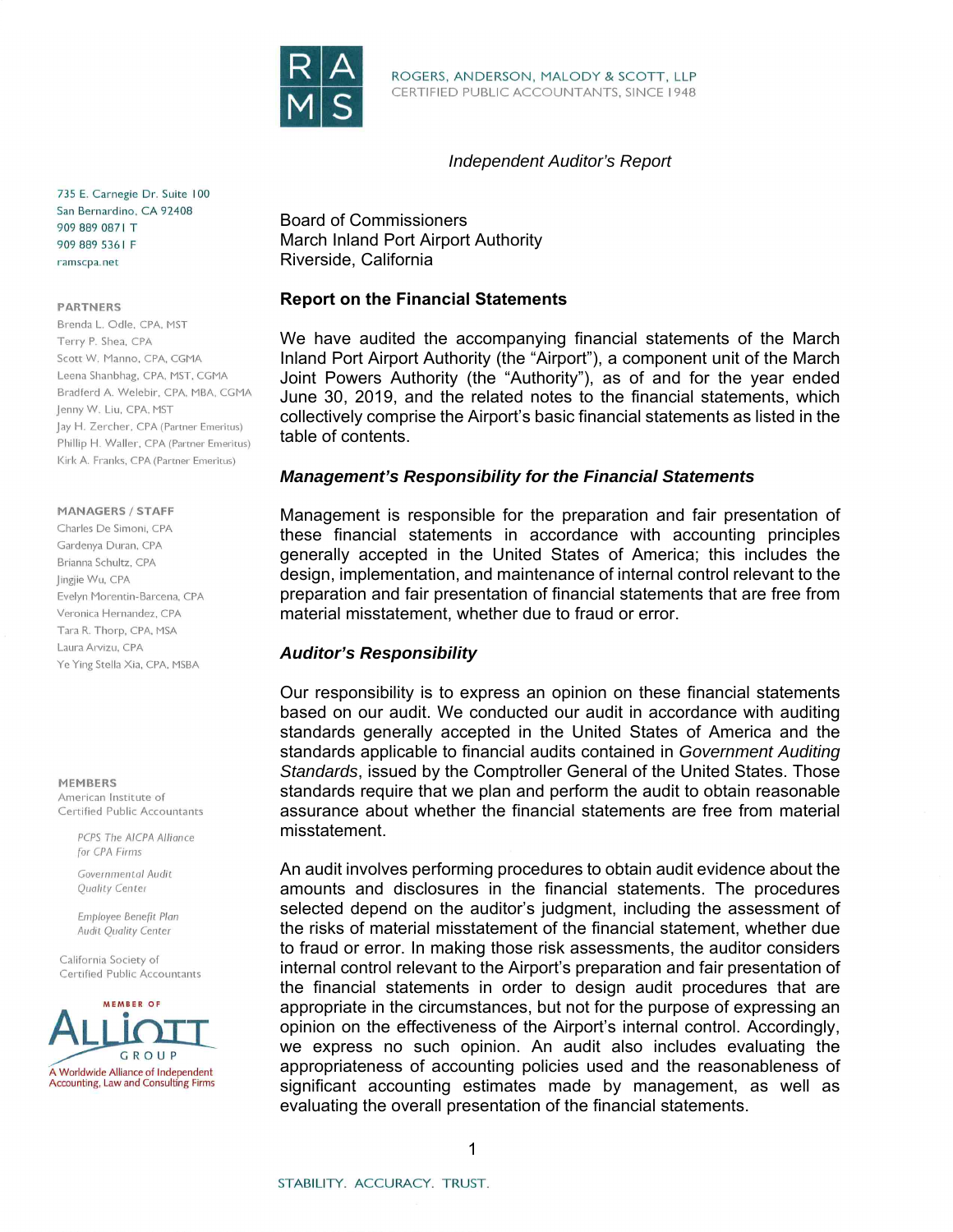

ROGERS, ANDERSON, MALODY & SCOTT, LLP CERTIFIED PUBLIC ACCOUNTANTS, SINCE 1948

#### *Independent Auditor's Report*

735 E. Carnegie Dr. Suite 100 San Bernardino, CA 92408 909 889 0871 T 909 889 5361 F ramscpa.net

#### **PARTNERS**

Brenda L. Odle, CPA, MST Terry P. Shea, CPA Scott W. Manno, CPA, CGMA Leena Shanbhag, CPA, MST, CGMA Bradferd A. Welebir, CPA, MBA, CGMA Jenny W. Liu, CPA, MST Jay H. Zercher, CPA (Partner Emeritus) Phillip H. Waller, CPA (Partner Emeritus) Kirk A. Franks, CPA (Partner Emeritus)

#### **MANAGERS / STAFF**

Charles De Simoni, CPA Gardenya Duran, CPA Brianna Schultz, CPA lingije Wu, CPA Evelyn Morentin-Barcena, CPA Veronica Hernandez, CPA Tara R. Thorp, CPA, MSA Laura Arvizu, CPA Ye Ying Stella Xia, CPA, MSBA

#### **MEMBERS**

American Institute of Certified Public Accountants

> PCPS The AICPA Alliance for CPA Firms

Governmental Audit Quality Center

Employee Benefit Plan Audit Ouality Center

California Society of Certified Public Accountants



Board of Commissioners March Inland Port Airport Authority Riverside, California

#### **Report on the Financial Statements**

We have audited the accompanying financial statements of the March Inland Port Airport Authority (the "Airport"), a component unit of the March Joint Powers Authority (the "Authority"), as of and for the year ended June 30, 2019, and the related notes to the financial statements, which collectively comprise the Airport's basic financial statements as listed in the table of contents.

#### *Management's Responsibility for the Financial Statements*

Management is responsible for the preparation and fair presentation of these financial statements in accordance with accounting principles generally accepted in the United States of America; this includes the design, implementation, and maintenance of internal control relevant to the preparation and fair presentation of financial statements that are free from material misstatement, whether due to fraud or error.

#### *Auditor's Responsibility*

Our responsibility is to express an opinion on these financial statements based on our audit. We conducted our audit in accordance with auditing standards generally accepted in the United States of America and the standards applicable to financial audits contained in *Government Auditing Standards*, issued by the Comptroller General of the United States. Those standards require that we plan and perform the audit to obtain reasonable assurance about whether the financial statements are free from material misstatement.

An audit involves performing procedures to obtain audit evidence about the amounts and disclosures in the financial statements. The procedures selected depend on the auditor's judgment, including the assessment of the risks of material misstatement of the financial statement, whether due to fraud or error. In making those risk assessments, the auditor considers internal control relevant to the Airport's preparation and fair presentation of the financial statements in order to design audit procedures that are appropriate in the circumstances, but not for the purpose of expressing an opinion on the effectiveness of the Airport's internal control. Accordingly, we express no such opinion. An audit also includes evaluating the appropriateness of accounting policies used and the reasonableness of significant accounting estimates made by management, as well as evaluating the overall presentation of the financial statements.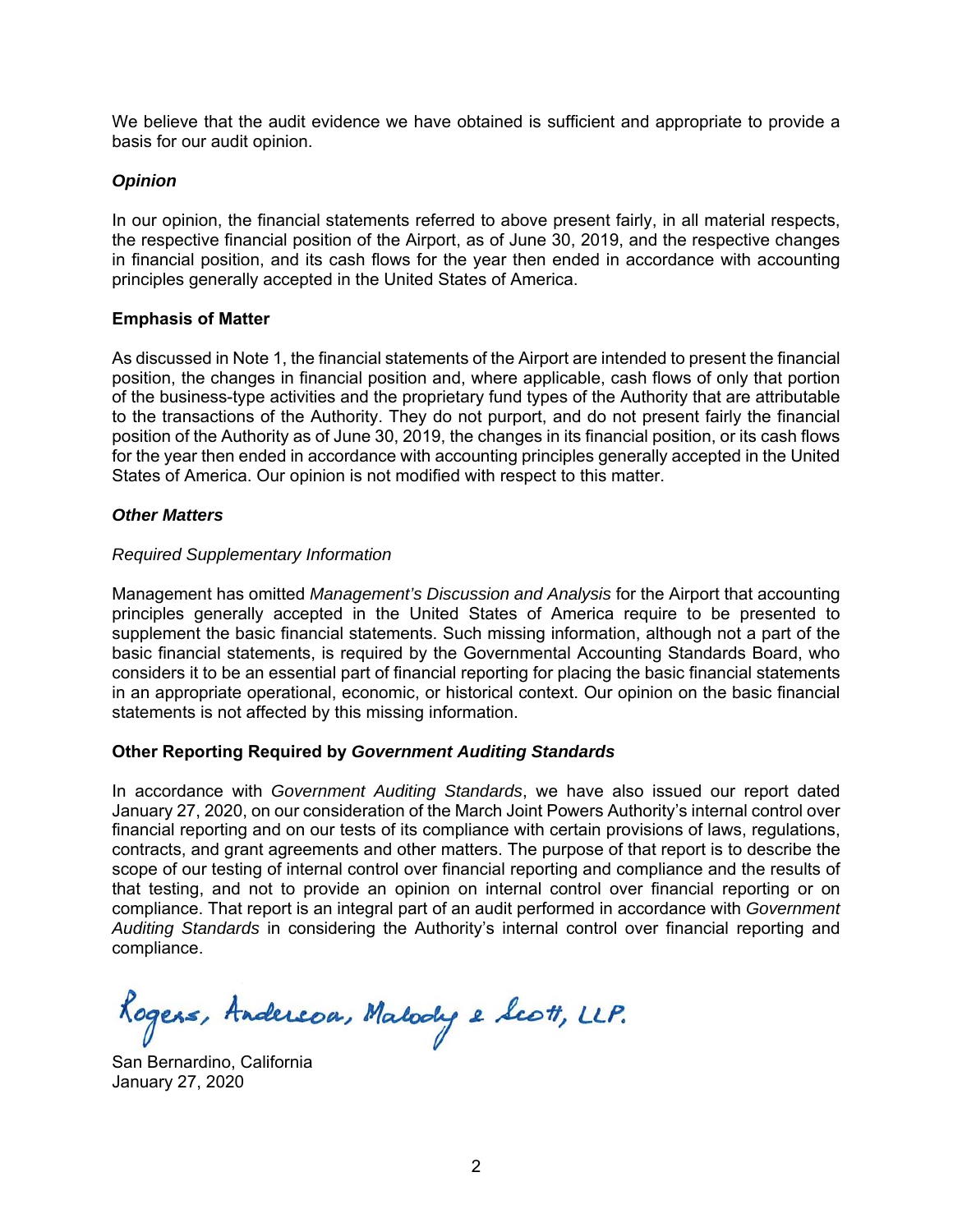We believe that the audit evidence we have obtained is sufficient and appropriate to provide a basis for our audit opinion.

# *Opinion*

In our opinion, the financial statements referred to above present fairly, in all material respects, the respective financial position of the Airport, as of June 30, 2019, and the respective changes in financial position, and its cash flows for the year then ended in accordance with accounting principles generally accepted in the United States of America.

# **Emphasis of Matter**

As discussed in Note 1, the financial statements of the Airport are intended to present the financial position, the changes in financial position and, where applicable, cash flows of only that portion of the business-type activities and the proprietary fund types of the Authority that are attributable to the transactions of the Authority. They do not purport, and do not present fairly the financial position of the Authority as of June 30, 2019, the changes in its financial position, or its cash flows for the year then ended in accordance with accounting principles generally accepted in the United States of America. Our opinion is not modified with respect to this matter.

# *Other Matters*

## *Required Supplementary Information*

Management has omitted *Management's Discussion and Analysis* for the Airport that accounting principles generally accepted in the United States of America require to be presented to supplement the basic financial statements. Such missing information, although not a part of the basic financial statements, is required by the Governmental Accounting Standards Board, who considers it to be an essential part of financial reporting for placing the basic financial statements in an appropriate operational, economic, or historical context. Our opinion on the basic financial statements is not affected by this missing information.

# **Other Reporting Required by** *Government Auditing Standards*

In accordance with *Government Auditing Standards*, we have also issued our report dated January 27, 2020, on our consideration of the March Joint Powers Authority's internal control over financial reporting and on our tests of its compliance with certain provisions of laws, regulations, contracts, and grant agreements and other matters. The purpose of that report is to describe the scope of our testing of internal control over financial reporting and compliance and the results of that testing, and not to provide an opinion on internal control over financial reporting or on compliance. That report is an integral part of an audit performed in accordance with *Government Auditing Standards* in considering the Authority's internal control over financial reporting and compliance.

Rogers, Andereou, Malody e Scott, LLP.

San Bernardino, California January 27, 2020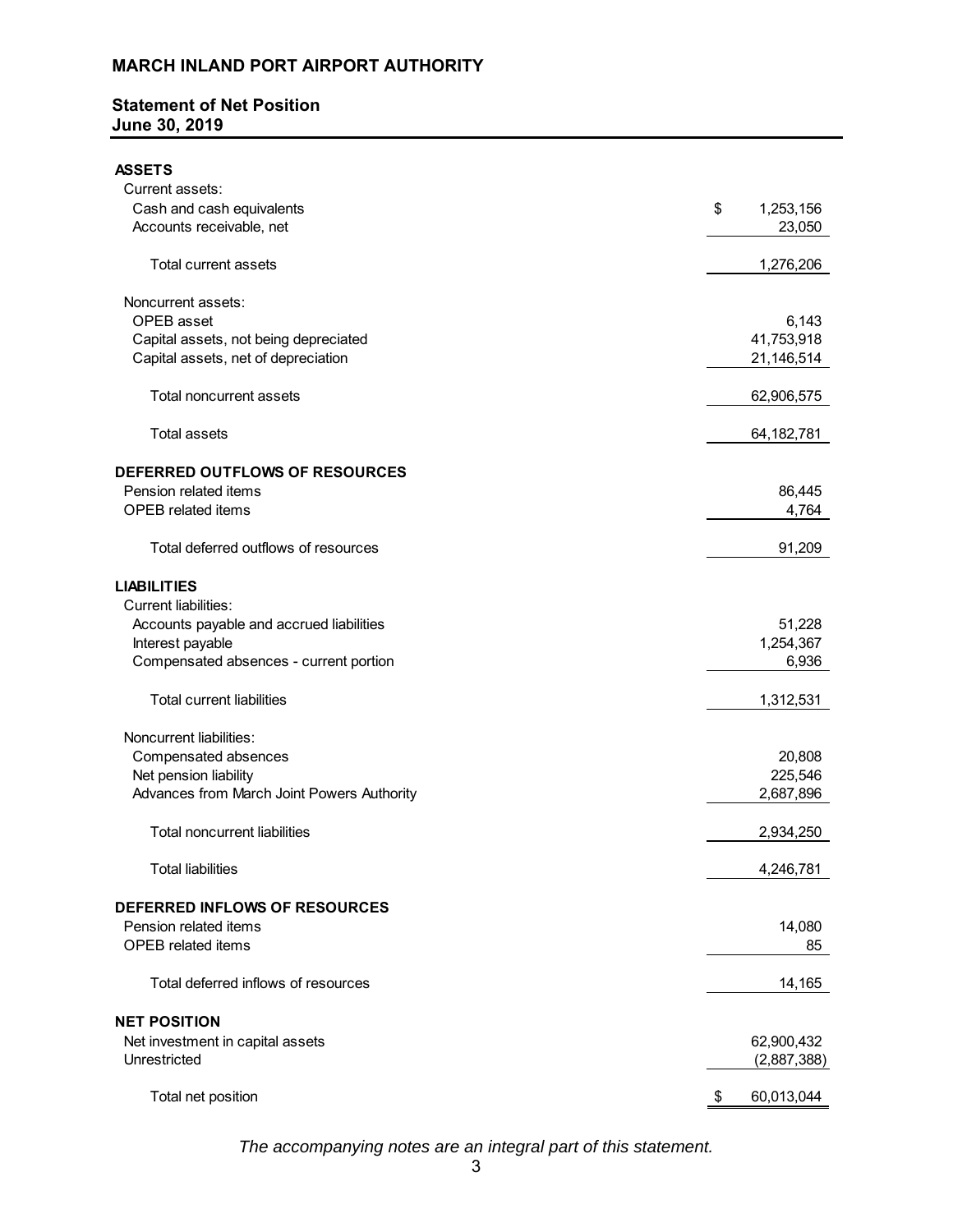# **Statement of Net Position June 30, 2019**

| Current assets:<br>Cash and cash equivalents<br>\$<br>1,253,156<br>Accounts receivable, net<br>23,050<br>Total current assets<br>1,276,206 |
|--------------------------------------------------------------------------------------------------------------------------------------------|
|                                                                                                                                            |
|                                                                                                                                            |
|                                                                                                                                            |
|                                                                                                                                            |
| Noncurrent assets:                                                                                                                         |
| OPEB asset<br>6,143                                                                                                                        |
| 41,753,918<br>Capital assets, not being depreciated                                                                                        |
| Capital assets, net of depreciation<br>21,146,514                                                                                          |
|                                                                                                                                            |
| Total noncurrent assets<br>62,906,575                                                                                                      |
| <b>Total assets</b><br>64, 182, 781                                                                                                        |
| DEFERRED OUTFLOWS OF RESOURCES                                                                                                             |
| Pension related items<br>86,445                                                                                                            |
| <b>OPEB</b> related items<br>4,764                                                                                                         |
| Total deferred outflows of resources<br>91,209                                                                                             |
| <b>LIABILITIES</b>                                                                                                                         |
| <b>Current liabilities:</b>                                                                                                                |
| Accounts payable and accrued liabilities<br>51,228                                                                                         |
| 1,254,367<br>Interest payable                                                                                                              |
| Compensated absences - current portion<br>6,936                                                                                            |
| <b>Total current liabilities</b><br>1,312,531                                                                                              |
| Noncurrent liabilities:                                                                                                                    |
| 20,808<br>Compensated absences                                                                                                             |
| Net pension liability<br>225,546                                                                                                           |
| Advances from March Joint Powers Authority<br>2,687,896                                                                                    |
|                                                                                                                                            |
| <b>Total noncurrent liabilities</b><br>2,934,250                                                                                           |
| <b>Total liabilities</b><br>4,246,781                                                                                                      |
| DEFERRED INFLOWS OF RESOURCES                                                                                                              |
| Pension related items<br>14,080                                                                                                            |
| <b>OPEB</b> related items                                                                                                                  |
|                                                                                                                                            |
| Total deferred inflows of resources<br>14,165                                                                                              |
| <b>NET POSITION</b>                                                                                                                        |
| 62,900,432<br>Net investment in capital assets                                                                                             |
| Unrestricted<br>(2,887,388)                                                                                                                |
| \$<br>60,013,044<br>Total net position                                                                                                     |

 *The accompanying notes are an integral part of this statement.*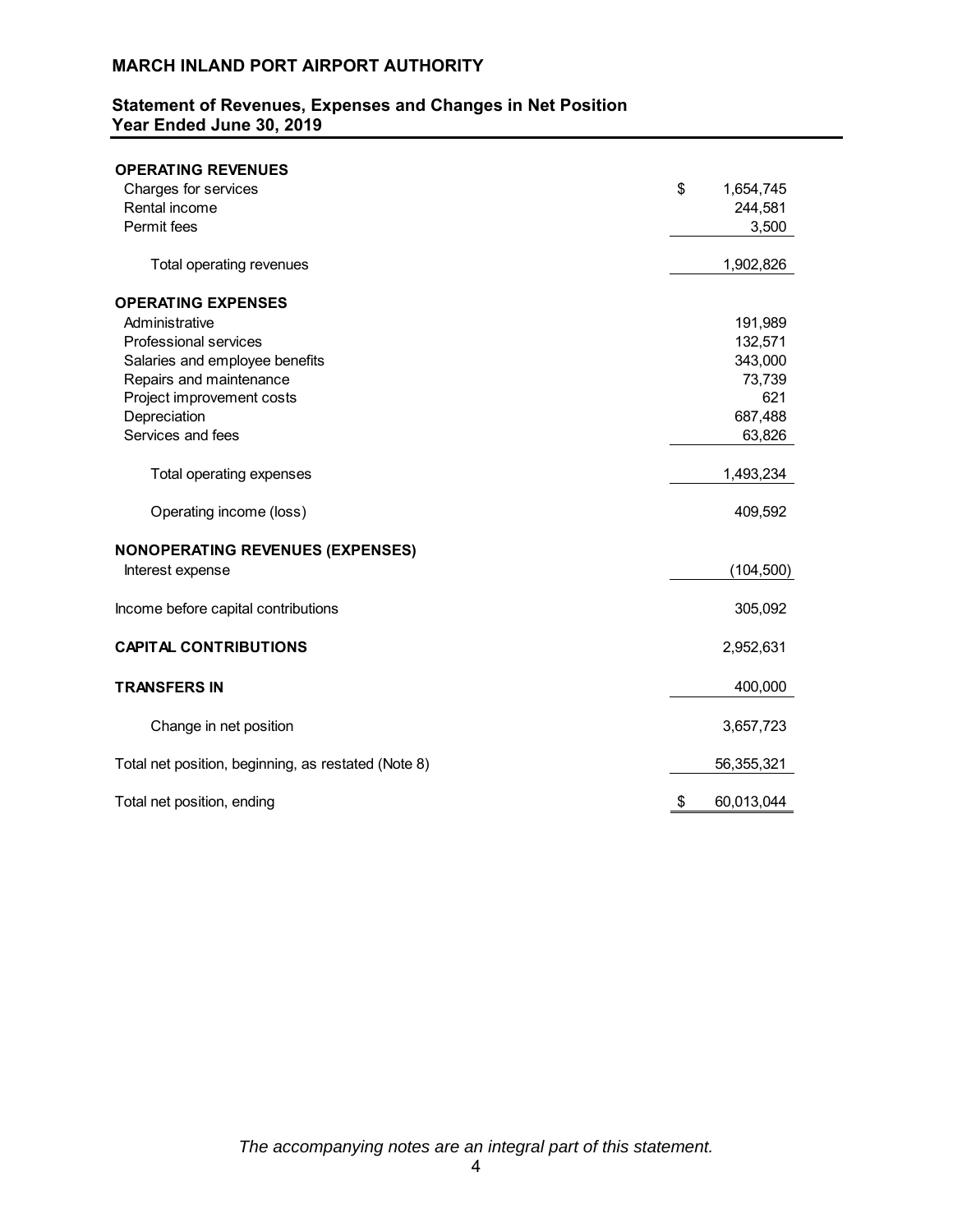#### **Statement of Revenues, Expenses and Changes in Net Position Year Ended June 30, 2019**

| <b>OPERATING REVENUES</b>                           |                  |
|-----------------------------------------------------|------------------|
| Charges for services                                | \$<br>1,654,745  |
| Rental income                                       | 244,581          |
| Permit fees                                         | 3,500            |
| Total operating revenues                            | 1,902,826        |
| <b>OPERATING EXPENSES</b>                           |                  |
| Administrative                                      | 191,989          |
| Professional services                               | 132,571          |
| Salaries and employee benefits                      | 343,000          |
| Repairs and maintenance                             | 73,739           |
| Project improvement costs                           | 621              |
| Depreciation                                        | 687,488          |
| Services and fees                                   | 63,826           |
| Total operating expenses                            | 1,493,234        |
| Operating income (loss)                             | 409,592          |
| <b>NONOPERATING REVENUES (EXPENSES)</b>             |                  |
| Interest expense                                    | (104, 500)       |
| Income before capital contributions                 | 305,092          |
| <b>CAPITAL CONTRIBUTIONS</b>                        | 2,952,631        |
| <b>TRANSFERS IN</b>                                 | 400,000          |
| Change in net position                              | 3,657,723        |
| Total net position, beginning, as restated (Note 8) | 56,355,321       |
| Total net position, ending                          | \$<br>60,013,044 |

 *The accompanying notes are an integral part of this statement.*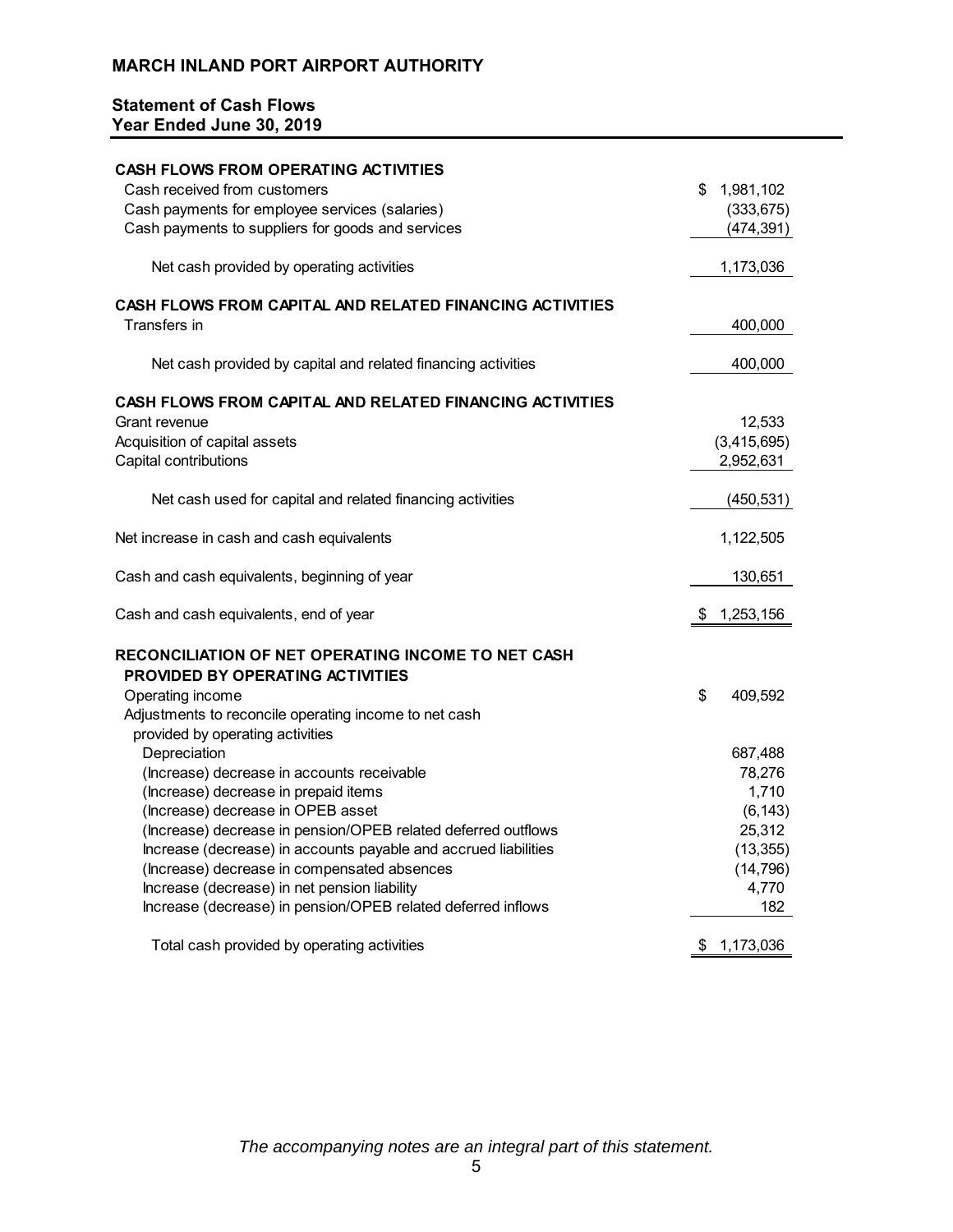# **Statement of Cash Flows Year Ended June 30, 2019**

| <b>CASH FLOWS FROM OPERATING ACTIVITIES</b>                     |                 |
|-----------------------------------------------------------------|-----------------|
| Cash received from customers                                    | 1,981,102<br>\$ |
| Cash payments for employee services (salaries)                  | (333, 675)      |
| Cash payments to suppliers for goods and services               | (474, 391)      |
| Net cash provided by operating activities                       | 1,173,036       |
| CASH FLOWS FROM CAPITAL AND RELATED FINANCING ACTIVITIES        |                 |
| Transfers in                                                    | 400,000         |
| Net cash provided by capital and related financing activities   | 400,000         |
| CASH FLOWS FROM CAPITAL AND RELATED FINANCING ACTIVITIES        |                 |
| Grant revenue                                                   | 12,533          |
| Acquisition of capital assets                                   | (3,415,695)     |
| Capital contributions                                           | 2,952,631       |
| Net cash used for capital and related financing activities      | (450, 531)      |
| Net increase in cash and cash equivalents                       | 1,122,505       |
| Cash and cash equivalents, beginning of year                    | 130,651         |
| Cash and cash equivalents, end of year                          | 1,253,156<br>S  |
| RECONCILIATION OF NET OPERATING INCOME TO NET CASH              |                 |
| PROVIDED BY OPERATING ACTIVITIES                                |                 |
| Operating income                                                | \$<br>409,592   |
| Adjustments to reconcile operating income to net cash           |                 |
| provided by operating activities                                |                 |
| Depreciation                                                    | 687,488         |
| (Increase) decrease in accounts receivable                      | 78,276          |
| (Increase) decrease in prepaid items                            | 1,710           |
| (Increase) decrease in OPEB asset                               | (6, 143)        |
| (Increase) decrease in pension/OPEB related deferred outflows   | 25,312          |
| Increase (decrease) in accounts payable and accrued liabilities | (13, 355)       |
| (Increase) decrease in compensated absences                     | (14, 796)       |
| Increase (decrease) in net pension liability                    | 4,770           |
| Increase (decrease) in pension/OPEB related deferred inflows    | 182             |
| Total cash provided by operating activities                     | 1,173,036<br>\$ |

 *The accompanying notes are an integral part of this statement.*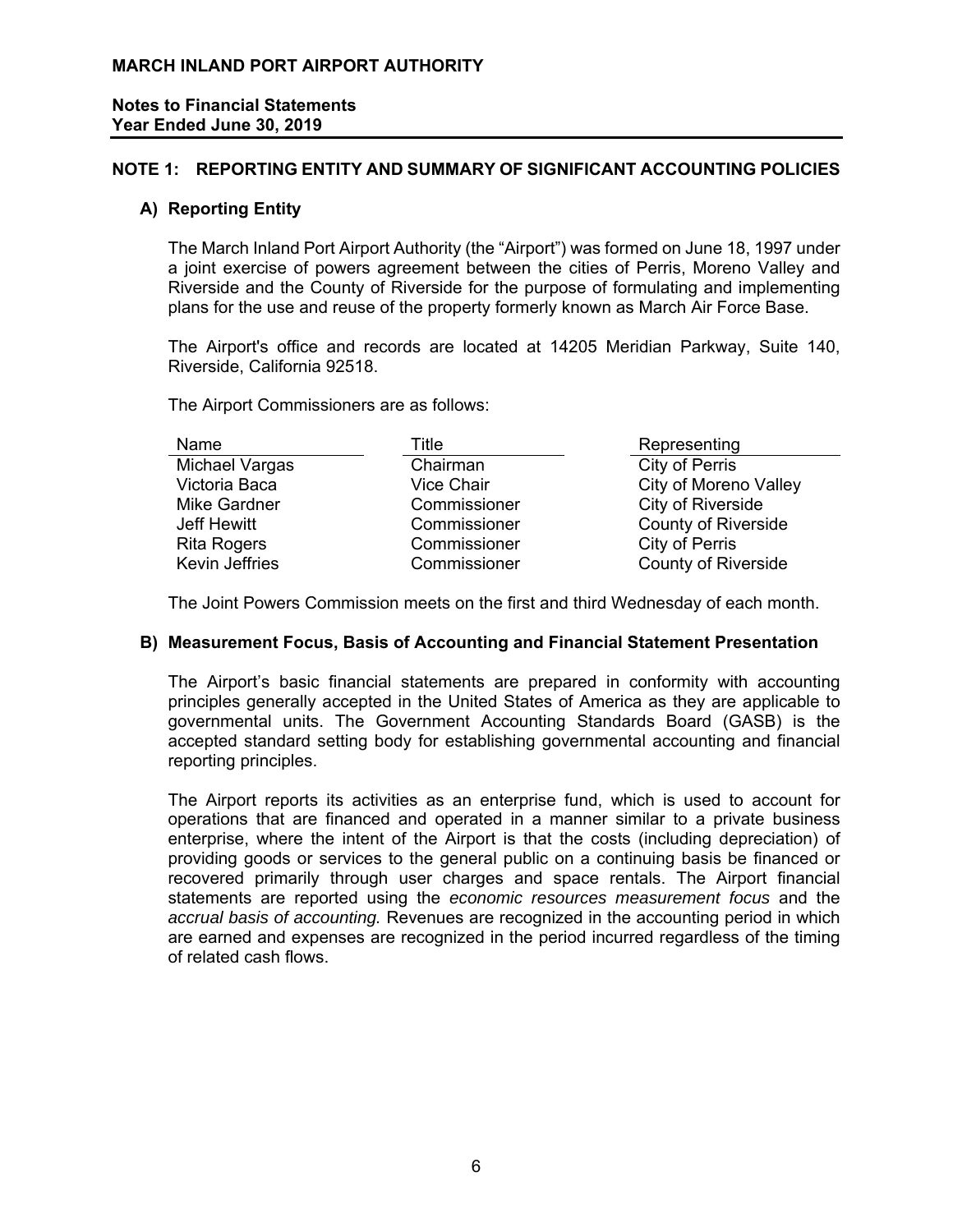#### **NOTE 1: REPORTING ENTITY AND SUMMARY OF SIGNIFICANT ACCOUNTING POLICIES**

#### **A) Reporting Entity**

The March Inland Port Airport Authority (the "Airport") was formed on June 18, 1997 under a joint exercise of powers agreement between the cities of Perris, Moreno Valley and Riverside and the County of Riverside for the purpose of formulating and implementing plans for the use and reuse of the property formerly known as March Air Force Base.

The Airport's office and records are located at 14205 Meridian Parkway, Suite 140, Riverside, California 92518.

The Airport Commissioners are as follows:

| Name                  | Title        | Representing               |
|-----------------------|--------------|----------------------------|
| Michael Vargas        | Chairman     | City of Perris             |
| Victoria Baca         | Vice Chair   | City of Moreno Valley      |
| <b>Mike Gardner</b>   | Commissioner | City of Riverside          |
| Jeff Hewitt           | Commissioner | <b>County of Riverside</b> |
| <b>Rita Rogers</b>    | Commissioner | City of Perris             |
| <b>Kevin Jeffries</b> | Commissioner | <b>County of Riverside</b> |

The Joint Powers Commission meets on the first and third Wednesday of each month.

#### **B) Measurement Focus, Basis of Accounting and Financial Statement Presentation**

The Airport's basic financial statements are prepared in conformity with accounting principles generally accepted in the United States of America as they are applicable to governmental units. The Government Accounting Standards Board (GASB) is the accepted standard setting body for establishing governmental accounting and financial reporting principles.

The Airport reports its activities as an enterprise fund, which is used to account for operations that are financed and operated in a manner similar to a private business enterprise, where the intent of the Airport is that the costs (including depreciation) of providing goods or services to the general public on a continuing basis be financed or recovered primarily through user charges and space rentals. The Airport financial statements are reported using the *economic resources measurement focus* and the *accrual basis of accounting.* Revenues are recognized in the accounting period in which are earned and expenses are recognized in the period incurred regardless of the timing of related cash flows.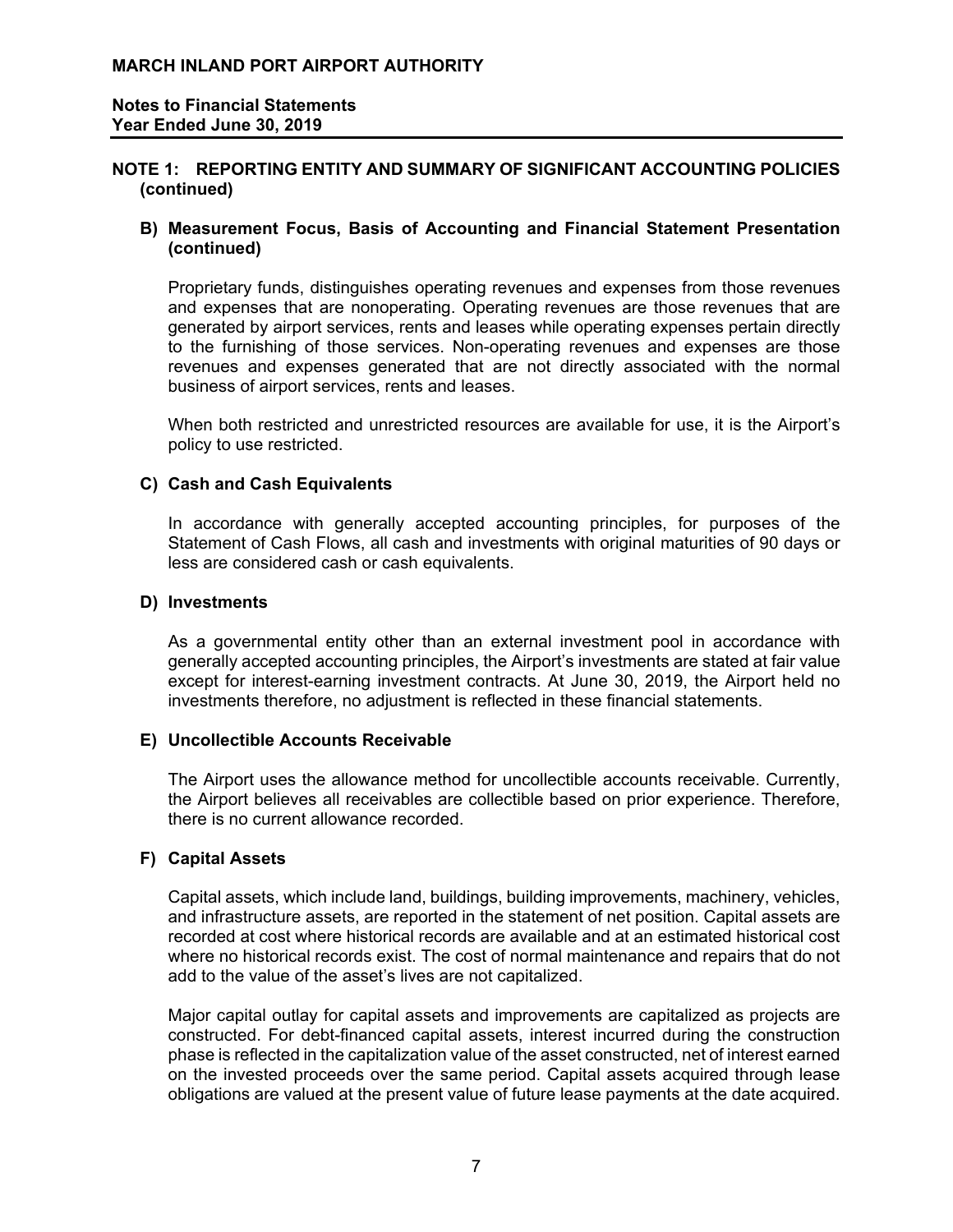#### **NOTE 1: REPORTING ENTITY AND SUMMARY OF SIGNIFICANT ACCOUNTING POLICIES (continued)**

### **B) Measurement Focus, Basis of Accounting and Financial Statement Presentation (continued)**

Proprietary funds, distinguishes operating revenues and expenses from those revenues and expenses that are nonoperating. Operating revenues are those revenues that are generated by airport services, rents and leases while operating expenses pertain directly to the furnishing of those services. Non-operating revenues and expenses are those revenues and expenses generated that are not directly associated with the normal business of airport services, rents and leases.

When both restricted and unrestricted resources are available for use, it is the Airport's policy to use restricted.

## **C) Cash and Cash Equivalents**

In accordance with generally accepted accounting principles, for purposes of the Statement of Cash Flows, all cash and investments with original maturities of 90 days or less are considered cash or cash equivalents.

#### **D) Investments**

As a governmental entity other than an external investment pool in accordance with generally accepted accounting principles, the Airport's investments are stated at fair value except for interest-earning investment contracts. At June 30, 2019, the Airport held no investments therefore, no adjustment is reflected in these financial statements.

#### **E) Uncollectible Accounts Receivable**

The Airport uses the allowance method for uncollectible accounts receivable. Currently, the Airport believes all receivables are collectible based on prior experience. Therefore, there is no current allowance recorded.

# **F) Capital Assets**

Capital assets, which include land, buildings, building improvements, machinery, vehicles, and infrastructure assets, are reported in the statement of net position. Capital assets are recorded at cost where historical records are available and at an estimated historical cost where no historical records exist. The cost of normal maintenance and repairs that do not add to the value of the asset's lives are not capitalized.

Major capital outlay for capital assets and improvements are capitalized as projects are constructed. For debt-financed capital assets, interest incurred during the construction phase is reflected in the capitalization value of the asset constructed, net of interest earned on the invested proceeds over the same period. Capital assets acquired through lease obligations are valued at the present value of future lease payments at the date acquired.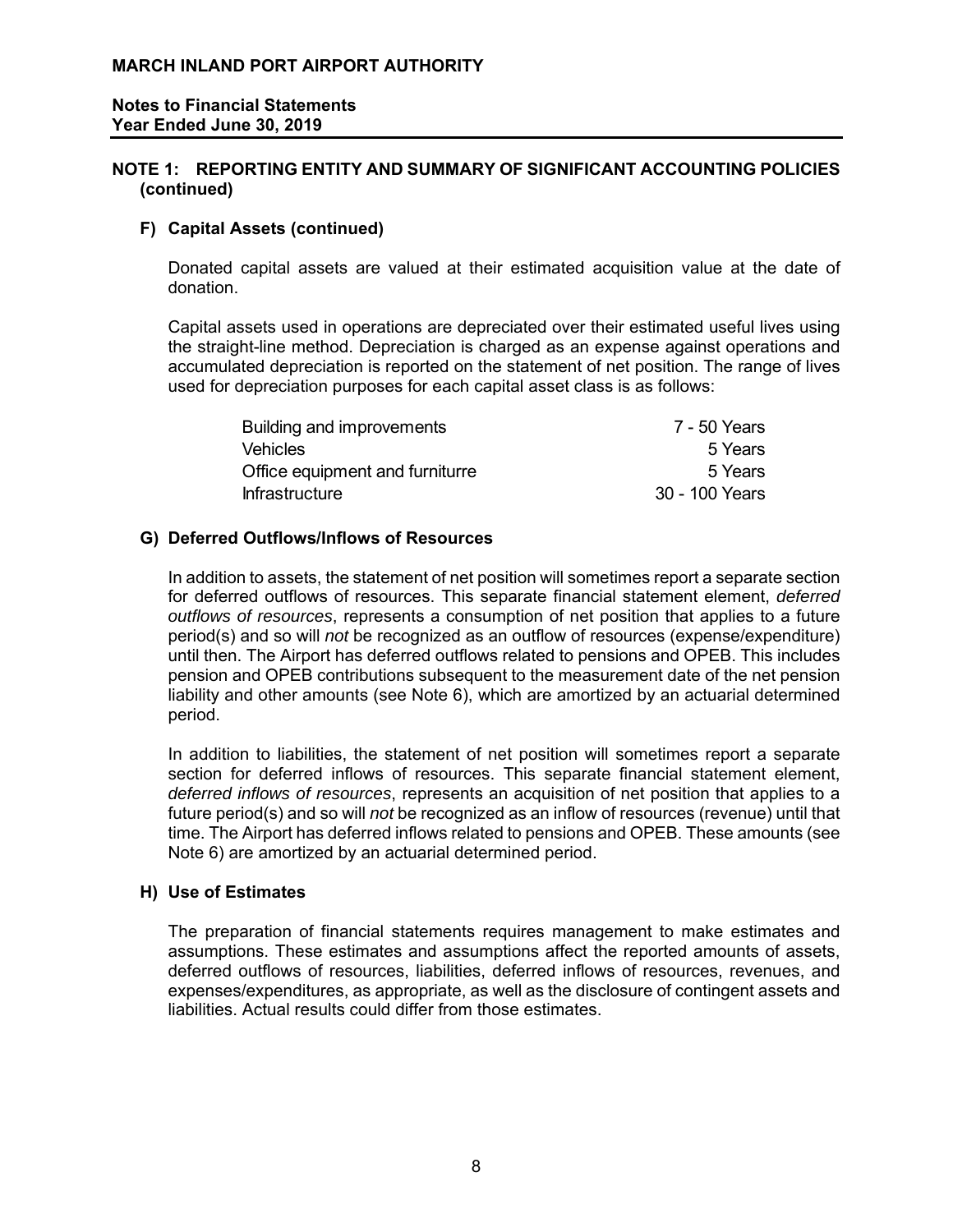#### **NOTE 1: REPORTING ENTITY AND SUMMARY OF SIGNIFICANT ACCOUNTING POLICIES (continued)**

## **F) Capital Assets (continued)**

Donated capital assets are valued at their estimated acquisition value at the date of donation.

Capital assets used in operations are depreciated over their estimated useful lives using the straight-line method. Depreciation is charged as an expense against operations and accumulated depreciation is reported on the statement of net position. The range of lives used for depreciation purposes for each capital asset class is as follows:

| Building and improvements       | 7 - 50 Years   |
|---------------------------------|----------------|
| <b>Vehicles</b>                 | 5 Years        |
| Office equipment and furniturre | 5 Years        |
| <b>Infrastructure</b>           | 30 - 100 Years |
|                                 |                |

## **G) Deferred Outflows/Inflows of Resources**

In addition to assets, the statement of net position will sometimes report a separate section for deferred outflows of resources. This separate financial statement element, *deferred outflows of resources*, represents a consumption of net position that applies to a future period(s) and so will *not* be recognized as an outflow of resources (expense/expenditure) until then. The Airport has deferred outflows related to pensions and OPEB. This includes pension and OPEB contributions subsequent to the measurement date of the net pension liability and other amounts (see Note 6), which are amortized by an actuarial determined period.

In addition to liabilities, the statement of net position will sometimes report a separate section for deferred inflows of resources. This separate financial statement element, *deferred inflows of resources*, represents an acquisition of net position that applies to a future period(s) and so will *not* be recognized as an inflow of resources (revenue) until that time. The Airport has deferred inflows related to pensions and OPEB. These amounts (see Note 6) are amortized by an actuarial determined period.

#### **H) Use of Estimates**

The preparation of financial statements requires management to make estimates and assumptions. These estimates and assumptions affect the reported amounts of assets, deferred outflows of resources, liabilities, deferred inflows of resources, revenues, and expenses/expenditures, as appropriate, as well as the disclosure of contingent assets and liabilities. Actual results could differ from those estimates.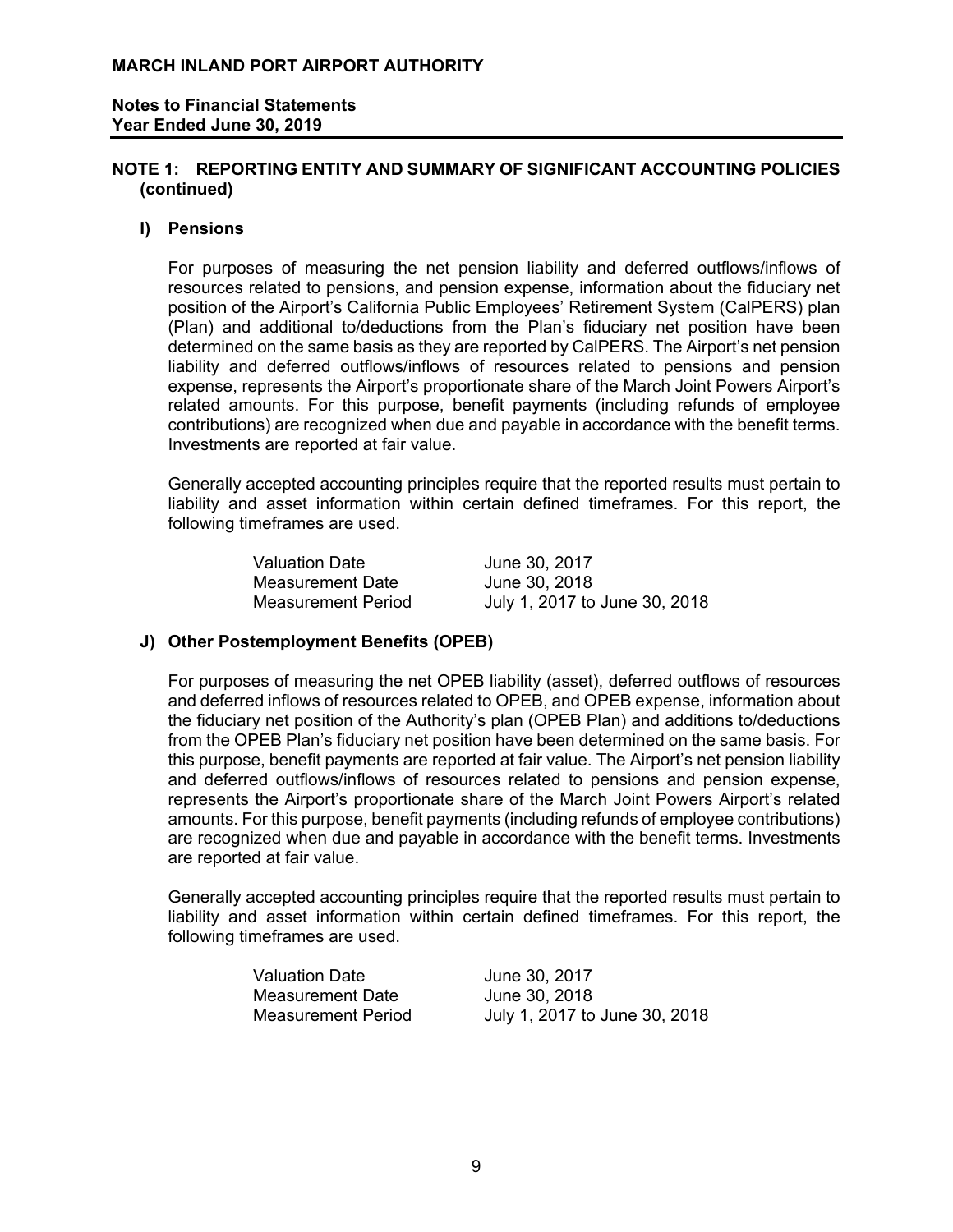#### **NOTE 1: REPORTING ENTITY AND SUMMARY OF SIGNIFICANT ACCOUNTING POLICIES (continued)**

#### **I) Pensions**

For purposes of measuring the net pension liability and deferred outflows/inflows of resources related to pensions, and pension expense, information about the fiduciary net position of the Airport's California Public Employees' Retirement System (CalPERS) plan (Plan) and additional to/deductions from the Plan's fiduciary net position have been determined on the same basis as they are reported by CalPERS. The Airport's net pension liability and deferred outflows/inflows of resources related to pensions and pension expense, represents the Airport's proportionate share of the March Joint Powers Airport's related amounts. For this purpose, benefit payments (including refunds of employee contributions) are recognized when due and payable in accordance with the benefit terms. Investments are reported at fair value.

Generally accepted accounting principles require that the reported results must pertain to liability and asset information within certain defined timeframes. For this report, the following timeframes are used.

| <b>Valuation Date</b>     | June 30, 2017                 |
|---------------------------|-------------------------------|
| Measurement Date          | June 30, 2018                 |
| <b>Measurement Period</b> | July 1, 2017 to June 30, 2018 |

# **J) Other Postemployment Benefits (OPEB)**

For purposes of measuring the net OPEB liability (asset), deferred outflows of resources and deferred inflows of resources related to OPEB, and OPEB expense, information about the fiduciary net position of the Authority's plan (OPEB Plan) and additions to/deductions from the OPEB Plan's fiduciary net position have been determined on the same basis. For this purpose, benefit payments are reported at fair value. The Airport's net pension liability and deferred outflows/inflows of resources related to pensions and pension expense, represents the Airport's proportionate share of the March Joint Powers Airport's related amounts. For this purpose, benefit payments (including refunds of employee contributions) are recognized when due and payable in accordance with the benefit terms. Investments are reported at fair value.

Generally accepted accounting principles require that the reported results must pertain to liability and asset information within certain defined timeframes. For this report, the following timeframes are used.

| <b>Valuation Date</b> | June 30, 2017                 |
|-----------------------|-------------------------------|
| Measurement Date      | June 30, 2018                 |
| Measurement Period    | July 1, 2017 to June 30, 2018 |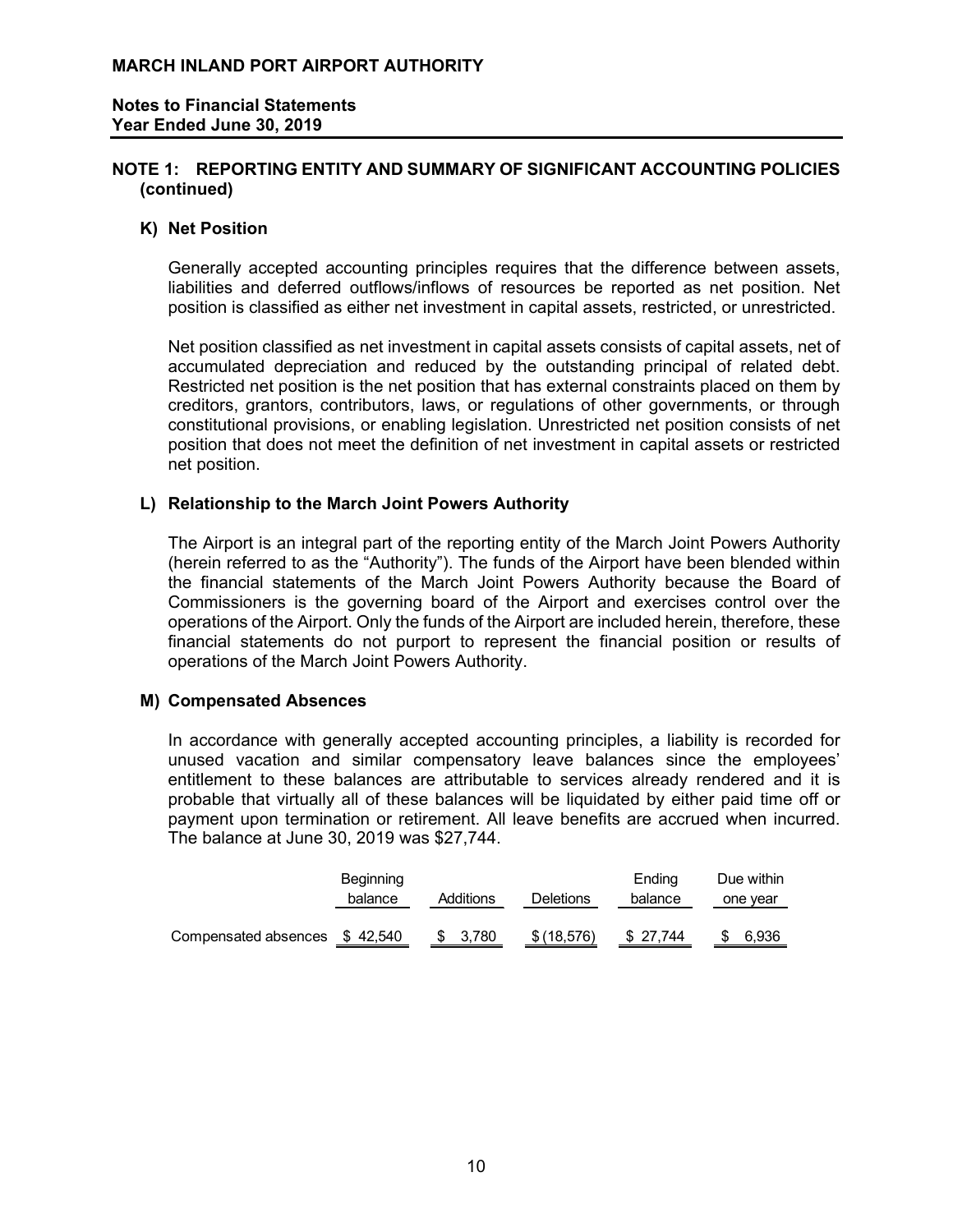#### **NOTE 1: REPORTING ENTITY AND SUMMARY OF SIGNIFICANT ACCOUNTING POLICIES (continued)**

#### **K) Net Position**

Generally accepted accounting principles requires that the difference between assets, liabilities and deferred outflows/inflows of resources be reported as net position. Net position is classified as either net investment in capital assets, restricted, or unrestricted.

Net position classified as net investment in capital assets consists of capital assets, net of accumulated depreciation and reduced by the outstanding principal of related debt. Restricted net position is the net position that has external constraints placed on them by creditors, grantors, contributors, laws, or regulations of other governments, or through constitutional provisions, or enabling legislation. Unrestricted net position consists of net position that does not meet the definition of net investment in capital assets or restricted net position.

## **L) Relationship to the March Joint Powers Authority**

The Airport is an integral part of the reporting entity of the March Joint Powers Authority (herein referred to as the "Authority"). The funds of the Airport have been blended within the financial statements of the March Joint Powers Authority because the Board of Commissioners is the governing board of the Airport and exercises control over the operations of the Airport. Only the funds of the Airport are included herein, therefore, these financial statements do not purport to represent the financial position or results of operations of the March Joint Powers Authority.

#### **M) Compensated Absences**

In accordance with generally accepted accounting principles, a liability is recorded for unused vacation and similar compensatory leave balances since the employees' entitlement to these balances are attributable to services already rendered and it is probable that virtually all of these balances will be liquidated by either paid time off or payment upon termination or retirement. All leave benefits are accrued when incurred. The balance at June 30, 2019 was \$27,744.

|                               | Beginning<br>balance | Additions   | <b>Deletions</b> | Endina<br>balance | Due within<br>one year |
|-------------------------------|----------------------|-------------|------------------|-------------------|------------------------|
| Compensated absences \$42,540 |                      | 3,780<br>S. | \$(18,576)       | \$ 27,744         | 6.936                  |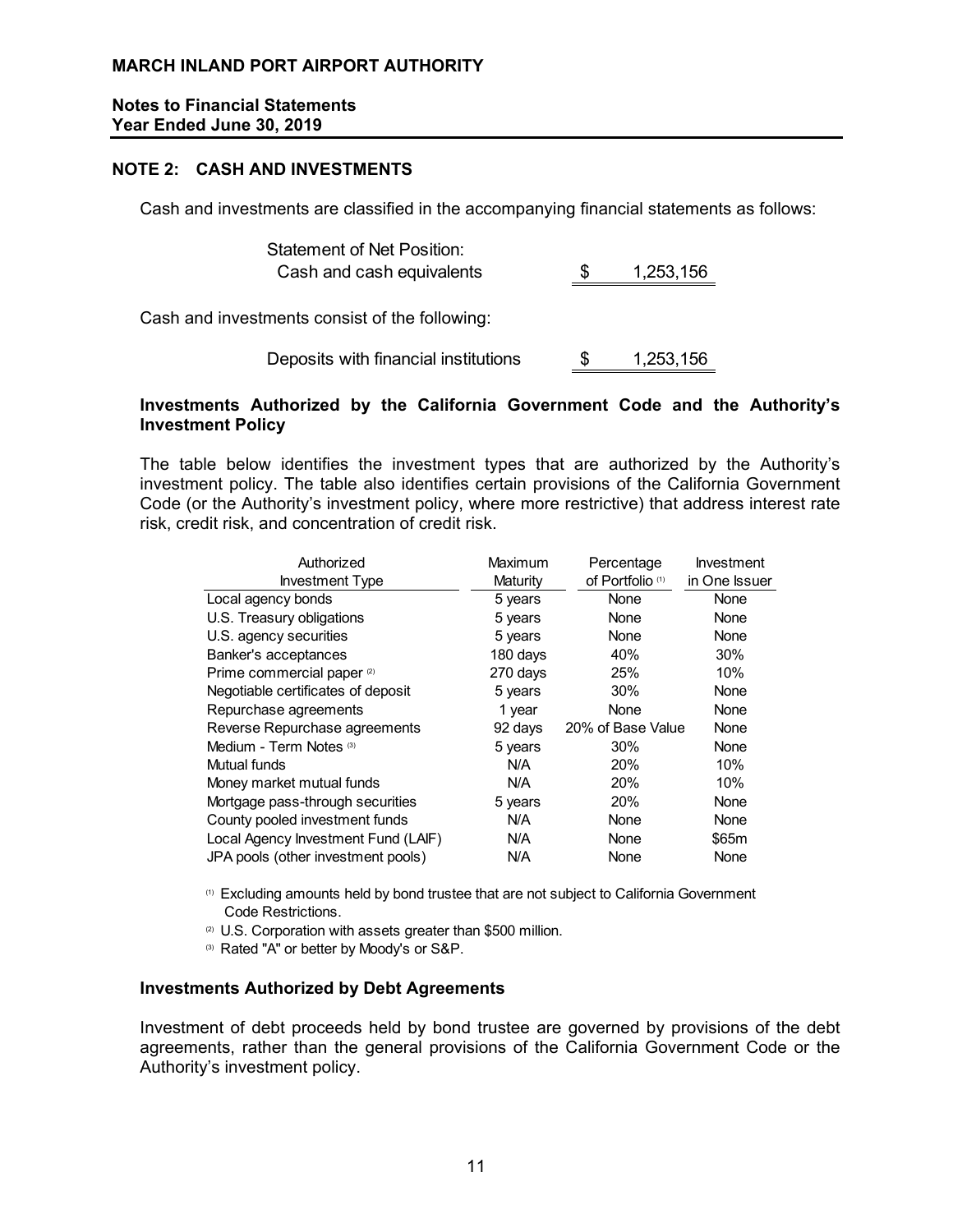#### **Notes to Financial Statements Year Ended June 30, 2019**

#### **NOTE 2: CASH AND INVESTMENTS**

Cash and investments are classified in the accompanying financial statements as follows:

| <b>Statement of Net Position:</b> |           |
|-----------------------------------|-----------|
| Cash and cash equivalents         | 1,253,156 |

Cash and investments consist of the following:

Deposits with financial institutions \$ 1,253,156

#### **Investments Authorized by the California Government Code and the Authority's Investment Policy**

The table below identifies the investment types that are authorized by the Authority's investment policy. The table also identifies certain provisions of the California Government Code (or the Authority's investment policy, where more restrictive) that address interest rate risk, credit risk, and concentration of credit risk.

| Authorized                            | Maximum  | Percentage                  | <b>Investment</b> |  |
|---------------------------------------|----------|-----------------------------|-------------------|--|
| <b>Investment Type</b>                | Maturity | of Portfolio <sup>(1)</sup> | in One Issuer     |  |
| Local agency bonds                    | 5 years  | None                        | None              |  |
| U.S. Treasury obligations             | 5 years  | None                        | None              |  |
| U.S. agency securities                | 5 years  | None                        | None              |  |
| Banker's acceptances                  | 180 days | 40%                         | 30%               |  |
| Prime commercial paper <sup>(2)</sup> | 270 days | 25%                         | 10%               |  |
| Negotiable certificates of deposit    | 5 years  | 30%                         | None              |  |
| Repurchase agreements                 | 1 year   | None                        | None              |  |
| Reverse Repurchase agreements         | 92 days  | 20% of Base Value           | None              |  |
| Medium - Term Notes (3)               | 5 years  | 30%                         | None              |  |
| Mutual funds                          | N/A      | 20%                         | 10%               |  |
| Money market mutual funds             | N/A      | <b>20%</b>                  | 10%               |  |
| Mortgage pass-through securities      | 5 years  | 20%                         | None              |  |
| County pooled investment funds        | N/A      | None                        | None              |  |
| Local Agency Investment Fund (LAIF)   | N/A      | None                        | \$65m             |  |
| JPA pools (other investment pools)    | N/A      | None                        | None              |  |
|                                       |          |                             |                   |  |

(1) Excluding amounts held by bond trustee that are not subject to California Government Code Restrictions.

 $(2)$  U.S. Corporation with assets greater than \$500 million.

(3) Rated "A" or better by Moody's or S&P.

#### **Investments Authorized by Debt Agreements**

Investment of debt proceeds held by bond trustee are governed by provisions of the debt agreements, rather than the general provisions of the California Government Code or the Authority's investment policy.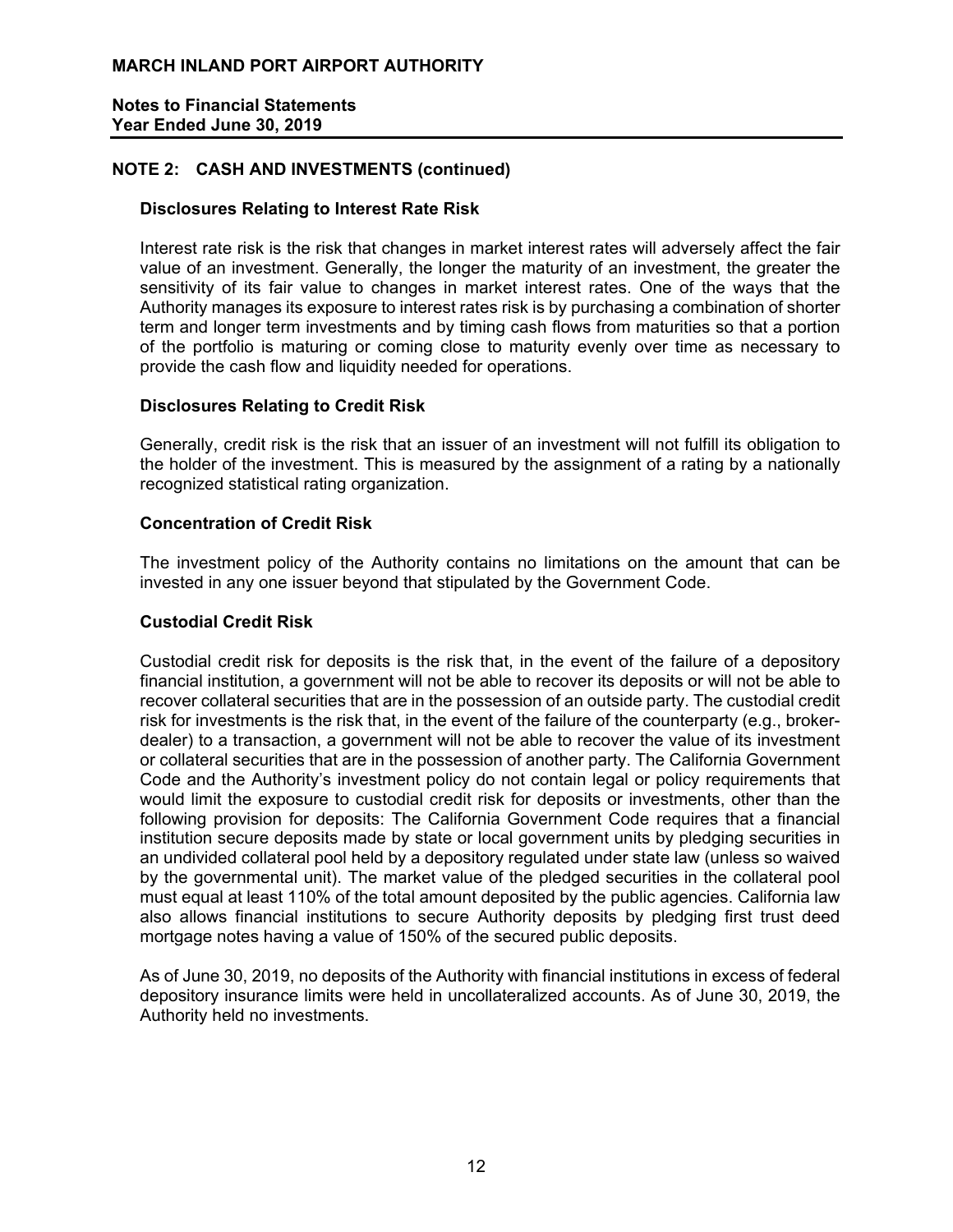**Notes to Financial Statements Year Ended June 30, 2019** 

## **NOTE 2: CASH AND INVESTMENTS (continued)**

#### **Disclosures Relating to Interest Rate Risk**

Interest rate risk is the risk that changes in market interest rates will adversely affect the fair value of an investment. Generally, the longer the maturity of an investment, the greater the sensitivity of its fair value to changes in market interest rates. One of the ways that the Authority manages its exposure to interest rates risk is by purchasing a combination of shorter term and longer term investments and by timing cash flows from maturities so that a portion of the portfolio is maturing or coming close to maturity evenly over time as necessary to provide the cash flow and liquidity needed for operations.

#### **Disclosures Relating to Credit Risk**

Generally, credit risk is the risk that an issuer of an investment will not fulfill its obligation to the holder of the investment. This is measured by the assignment of a rating by a nationally recognized statistical rating organization.

## **Concentration of Credit Risk**

The investment policy of the Authority contains no limitations on the amount that can be invested in any one issuer beyond that stipulated by the Government Code.

#### **Custodial Credit Risk**

Custodial credit risk for deposits is the risk that, in the event of the failure of a depository financial institution, a government will not be able to recover its deposits or will not be able to recover collateral securities that are in the possession of an outside party. The custodial credit risk for investments is the risk that, in the event of the failure of the counterparty (e.g., brokerdealer) to a transaction, a government will not be able to recover the value of its investment or collateral securities that are in the possession of another party. The California Government Code and the Authority's investment policy do not contain legal or policy requirements that would limit the exposure to custodial credit risk for deposits or investments, other than the following provision for deposits: The California Government Code requires that a financial institution secure deposits made by state or local government units by pledging securities in an undivided collateral pool held by a depository regulated under state law (unless so waived by the governmental unit). The market value of the pledged securities in the collateral pool must equal at least 110% of the total amount deposited by the public agencies. California law also allows financial institutions to secure Authority deposits by pledging first trust deed mortgage notes having a value of 150% of the secured public deposits.

As of June 30, 2019, no deposits of the Authority with financial institutions in excess of federal depository insurance limits were held in uncollateralized accounts. As of June 30, 2019, the Authority held no investments.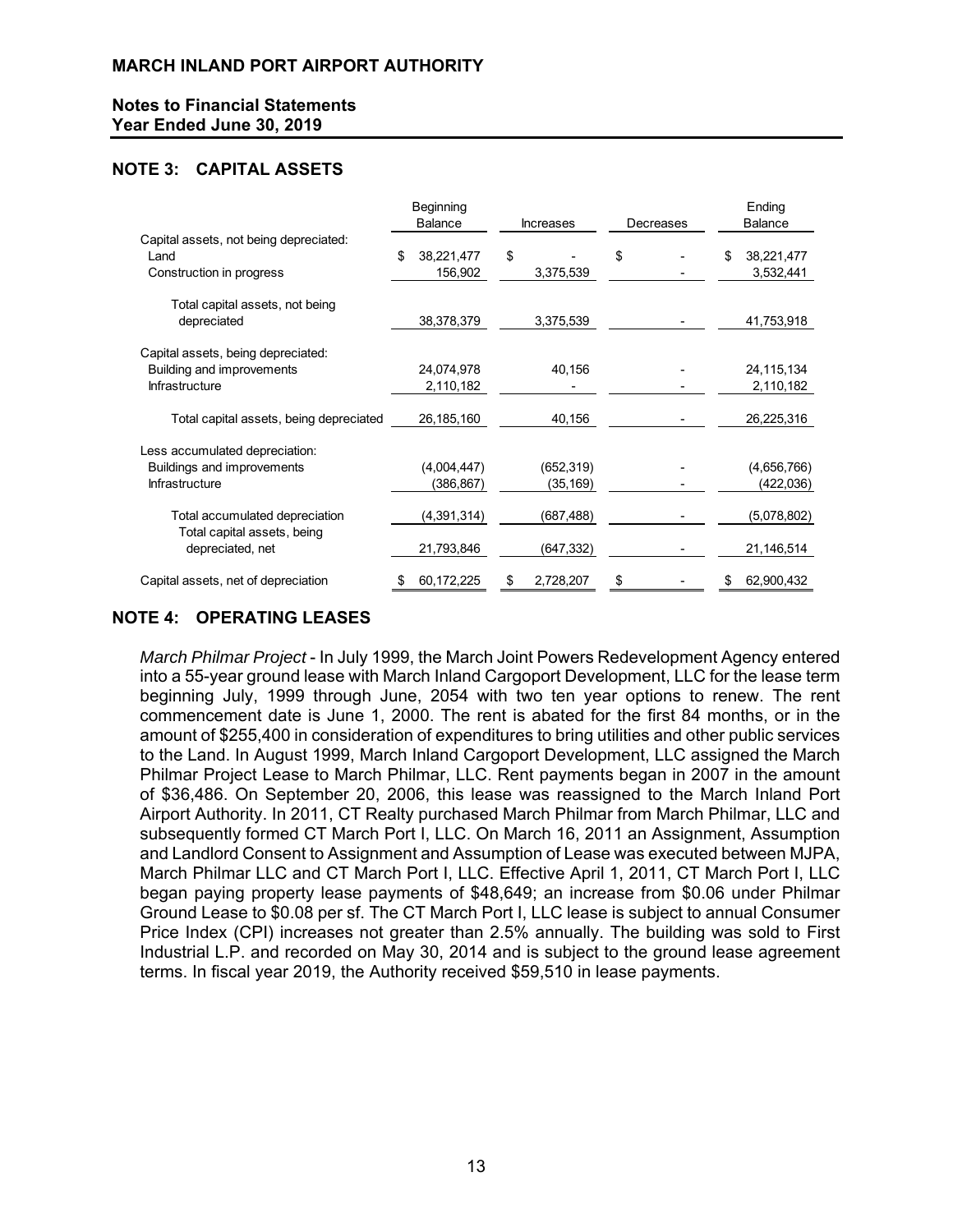# **NOTE 3: CAPITAL ASSETS**

|                                                                            | Beginning                   |                  |           |    | Ending                  |
|----------------------------------------------------------------------------|-----------------------------|------------------|-----------|----|-------------------------|
|                                                                            | <b>Balance</b>              | <b>Increases</b> | Decreases |    | <b>Balance</b>          |
| Capital assets, not being depreciated:<br>Land<br>Construction in progress | \$<br>38,221,477<br>156,902 | \$<br>3,375,539  | \$        | S  | 38,221,477<br>3,532,441 |
|                                                                            |                             |                  |           |    |                         |
| Total capital assets, not being<br>depreciated                             | 38,378,379                  | 3,375,539        |           |    | 41,753,918              |
| Capital assets, being depreciated:                                         |                             |                  |           |    |                         |
| Building and improvements                                                  | 24,074,978                  | 40,156           |           |    | 24, 115, 134            |
| <b>Infrastructure</b>                                                      | 2,110,182                   |                  |           |    | 2,110,182               |
| Total capital assets, being depreciated                                    | 26,185,160                  | 40,156           |           |    | 26,225,316              |
| Less accumulated depreciation:                                             |                             |                  |           |    |                         |
| Buildings and improvements                                                 | (4,004,447)                 | (652, 319)       |           |    | (4,656,766)             |
| Infrastructure                                                             | (386,867)                   | (35,169)         |           |    | (422,036)               |
| Total accumulated depreciation                                             | (4,391,314)                 | (687,488)        |           |    | (5,078,802)             |
| Total capital assets, being<br>depreciated, net                            | 21,793,846                  | (647, 332)       |           |    | 21,146,514              |
| Capital assets, net of depreciation                                        | \$<br>60,172,225            | \$<br>2,728,207  | \$        | \$ | 62,900,432              |

# **NOTE 4: OPERATING LEASES**

*March Philmar Project* - In July 1999, the March Joint Powers Redevelopment Agency entered into a 55-year ground lease with March Inland Cargoport Development, LLC for the lease term beginning July, 1999 through June, 2054 with two ten year options to renew. The rent commencement date is June 1, 2000. The rent is abated for the first 84 months, or in the amount of \$255,400 in consideration of expenditures to bring utilities and other public services to the Land. In August 1999, March Inland Cargoport Development, LLC assigned the March Philmar Project Lease to March Philmar, LLC. Rent payments began in 2007 in the amount of \$36,486. On September 20, 2006, this lease was reassigned to the March Inland Port Airport Authority. In 2011, CT Realty purchased March Philmar from March Philmar, LLC and subsequently formed CT March Port I, LLC. On March 16, 2011 an Assignment, Assumption and Landlord Consent to Assignment and Assumption of Lease was executed between MJPA, March Philmar LLC and CT March Port I, LLC. Effective April 1, 2011, CT March Port I, LLC began paying property lease payments of \$48,649; an increase from \$0.06 under Philmar Ground Lease to \$0.08 per sf. The CT March Port I, LLC lease is subject to annual Consumer Price Index (CPI) increases not greater than 2.5% annually. The building was sold to First Industrial L.P. and recorded on May 30, 2014 and is subject to the ground lease agreement terms. In fiscal year 2019, the Authority received \$59,510 in lease payments.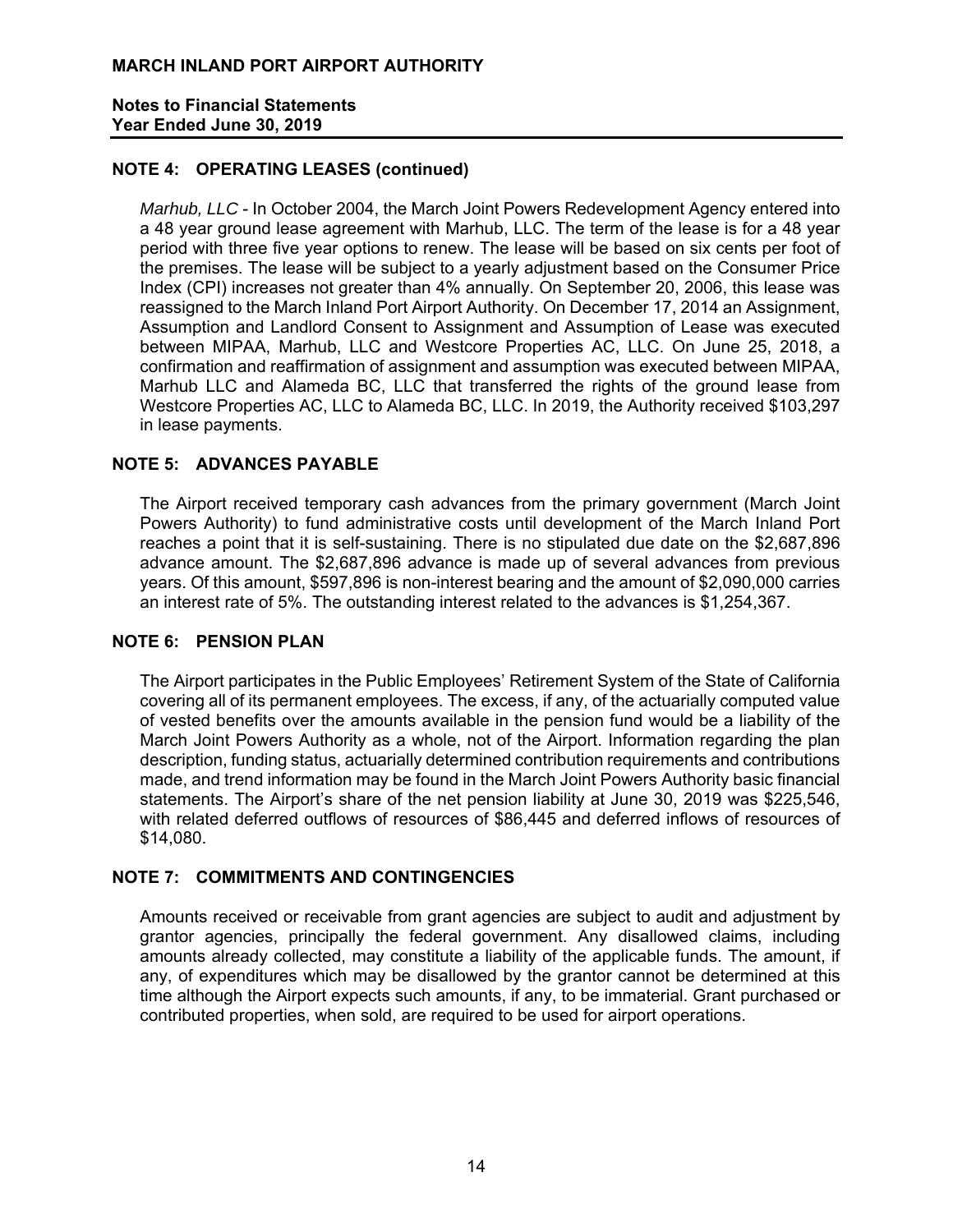## **NOTE 4: OPERATING LEASES (continued)**

*Marhub, LLC* - In October 2004, the March Joint Powers Redevelopment Agency entered into a 48 year ground lease agreement with Marhub, LLC. The term of the lease is for a 48 year period with three five year options to renew. The lease will be based on six cents per foot of the premises. The lease will be subject to a yearly adjustment based on the Consumer Price Index (CPI) increases not greater than 4% annually. On September 20, 2006, this lease was reassigned to the March Inland Port Airport Authority. On December 17, 2014 an Assignment, Assumption and Landlord Consent to Assignment and Assumption of Lease was executed between MIPAA, Marhub, LLC and Westcore Properties AC, LLC. On June 25, 2018, a confirmation and reaffirmation of assignment and assumption was executed between MIPAA, Marhub LLC and Alameda BC, LLC that transferred the rights of the ground lease from Westcore Properties AC, LLC to Alameda BC, LLC. In 2019, the Authority received \$103,297 in lease payments.

# **NOTE 5: ADVANCES PAYABLE**

The Airport received temporary cash advances from the primary government (March Joint Powers Authority) to fund administrative costs until development of the March Inland Port reaches a point that it is self-sustaining. There is no stipulated due date on the \$2,687,896 advance amount. The \$2,687,896 advance is made up of several advances from previous years. Of this amount, \$597,896 is non-interest bearing and the amount of \$2,090,000 carries an interest rate of 5%. The outstanding interest related to the advances is \$1,254,367.

# **NOTE 6: PENSION PLAN**

The Airport participates in the Public Employees' Retirement System of the State of California covering all of its permanent employees. The excess, if any, of the actuarially computed value of vested benefits over the amounts available in the pension fund would be a liability of the March Joint Powers Authority as a whole, not of the Airport. Information regarding the plan description, funding status, actuarially determined contribution requirements and contributions made, and trend information may be found in the March Joint Powers Authority basic financial statements. The Airport's share of the net pension liability at June 30, 2019 was \$225,546, with related deferred outflows of resources of \$86,445 and deferred inflows of resources of \$14,080.

# **NOTE 7: COMMITMENTS AND CONTINGENCIES**

Amounts received or receivable from grant agencies are subject to audit and adjustment by grantor agencies, principally the federal government. Any disallowed claims, including amounts already collected, may constitute a liability of the applicable funds. The amount, if any, of expenditures which may be disallowed by the grantor cannot be determined at this time although the Airport expects such amounts, if any, to be immaterial. Grant purchased or contributed properties, when sold, are required to be used for airport operations.